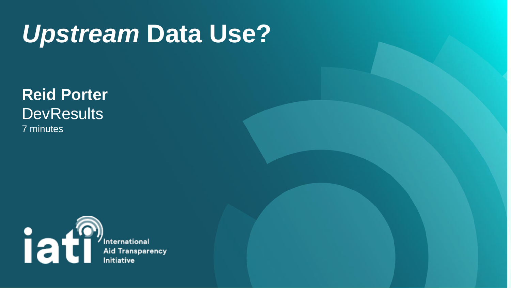## *Upstream* **Data Use?**

#### **Reid Porter DevResults** 7 minutes



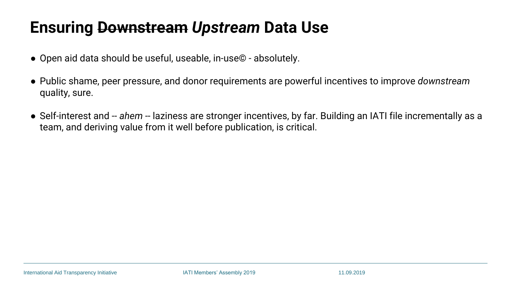#### **Ensuring Downstream** *Upstream* **Data Use**

● Public shame, peer pressure, and donor requirements are powerful incentives to improve *downstream* 

- Open aid data should be useful, useable, in-use© absolutely.
- quality, sure.
- team, and deriving value from it well before publication, is critical.

● Self-interest and -- *ahem* -- laziness are stronger incentives, by far. Building an IATI file incrementally as a

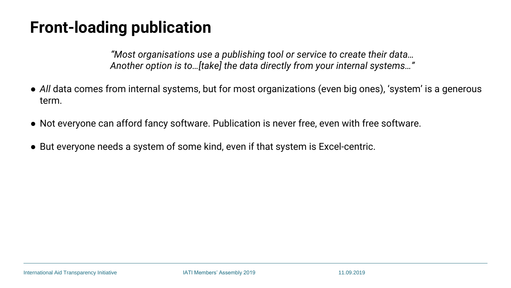### **Front-loading publication**

*"Most organisations use a publishing tool or service to create their data… Another option is to…[take] the data directly from your internal systems…"*

- *All* data comes from internal systems, but for most organizations (even big ones), 'system' is a generous term.
- Not everyone can afford fancy software. Publication is never free, even with free software.
- But everyone needs a system of some kind, even if that system is Excel-centric.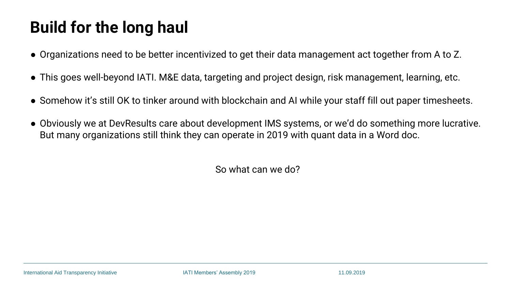### **Build for the long haul**

- Organizations need to be better incentivized to get their data management act together from A to Z.
- This goes well-beyond IATI. M&E data, targeting and project design, risk management, learning, etc.
- Somehow it's still OK to tinker around with blockchain and AI while your staff fill out paper timesheets.
- Obviously we at DevResults care about development IMS systems, or we'd do something more lucrative. But many organizations still think they can operate in 2019 with quant data in a Word doc.

So what can we do?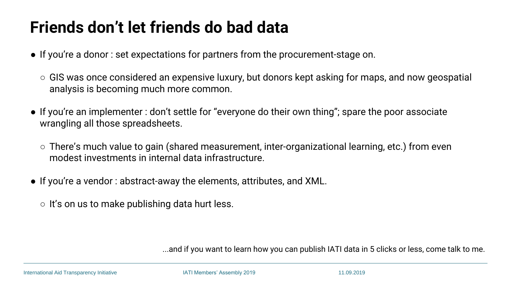- If you're a donor : set expectations for partners from the procurement-stage on.
	- $\circ$  GIS was once considered an expensive luxury, but donors kept asking for maps, and now geospatial analysis is becoming much more common.
- If you're an implementer : don't settle for "everyone do their own thing"; spare the poor associate wrangling all those spreadsheets.
	- $\circ$  There's much value to gain (shared measurement, inter-organizational learning, etc.) from even modest investments in internal data infrastructure.
- If you're a vendor : abstract-away the elements, attributes, and XML.
	- $\circ$  It's on us to make publishing data hurt less.

#### **Friends don't let friends do bad data**

...and if you want to learn how you can publish IATI data in 5 clicks or less, come talk to me.